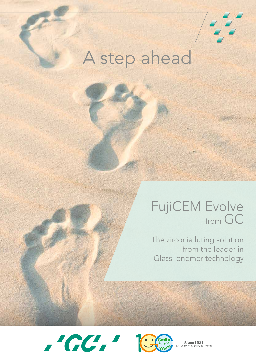# A step ahead

### FujiCEM Evolve from GC

The zirconia luting solution from the leader in Glass Ionomer technology





**Since 1921** Quality in Dental 100 years of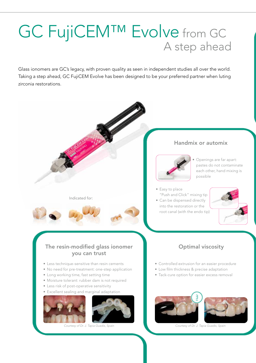## GC FujiCEM™ Evolve from GC A step ahead

Glass ionomers are GC's legacy, with proven quality as seen in independent studies all over the world. Taking a step ahead, GC FujiCEM Evolve has been designed to be your preferred partner when luting zirconia restorations.

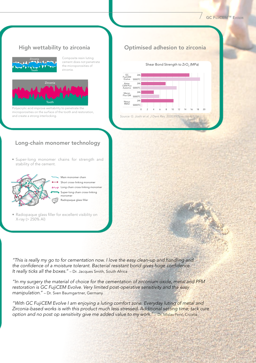

Composite resin luting cement does not penetrate the microporosities of zirconia.



Polyacrylic acid improve wettability to penetrate the microporosities on the surface of the tooth and restoration, and create a strong interlocking.

### Long-chain monomer technology

• Super-long monomer chains for strength and stability of the cement.



Main monomer chain Short cross-linking monomer **Long chain cross-linking monomer** Super-long chain cross-linking monomer Radiopaque glass filler

• Radiopaque glass filler for excellent visiblity on X-ray (> 250% Al)

*"This is really my go to for cementation now. I love the easy clean-up and handling and the confidence of a moisture tolerant. Bacterial resistant bond gives huge confidence. It really ticks all the boxes."* – Dr. Jacques Smith, South Africa

*"In my surgery the material of choice for the cementation of zirconium oxide, metal and PFM restoration is GC FujiCEM Evolve. Very limited post-operative sensitivity and the easy manipulation."* – Dr. Sven Baumgartner, Germany

*"With GC FujiCEM Evolve I am enjoying a luting comfort zone. Everyday luting of metal and Zirconia-based works is with this product much less stressed. Additional setting time, tack cure*  option and no post op sensitivity give me added value to my work." - Dr. Mislav Perić, Croatia

#### High wettability to zirconia **Noting the Upstands** Optimised adhesion to zirconia